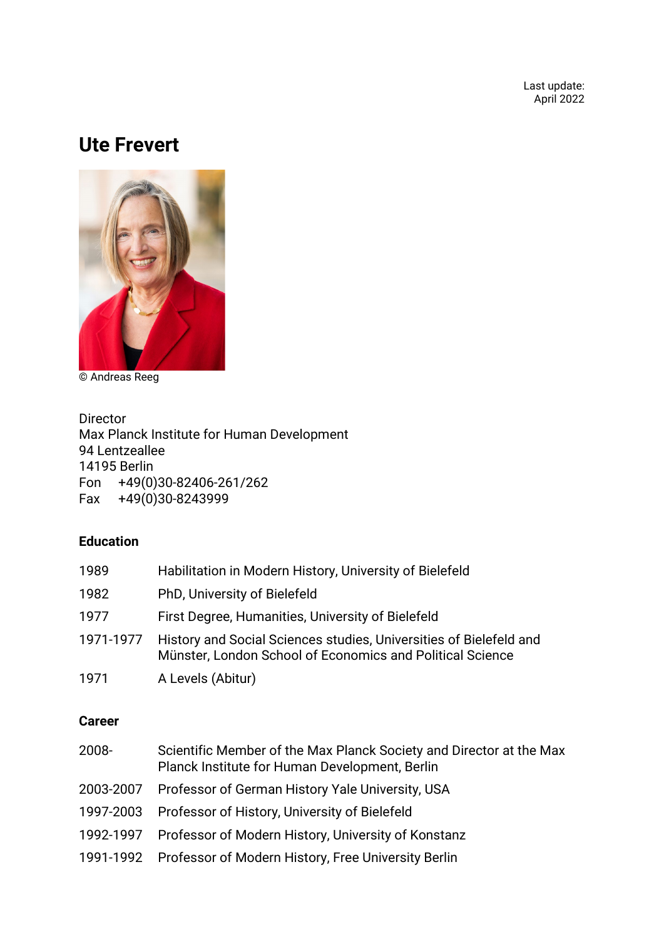Last update: April 2022

# **Ute Frevert**



© Andreas Reeg

Director Max Planck Institute for Human Development 94 Lentzeallee 14195 Berlin Fon +49(0)30-82406-261/262 Fax  $+49(0)30-8243999$ 

### **Education**

| 1989      | Habilitation in Modern History, University of Bielefeld                                                                         |
|-----------|---------------------------------------------------------------------------------------------------------------------------------|
| 1982      | PhD, University of Bielefeld                                                                                                    |
| 1977      | First Degree, Humanities, University of Bielefeld                                                                               |
| 1971-1977 | History and Social Sciences studies, Universities of Bielefeld and<br>Münster, London School of Economics and Political Science |
| 1971      | A Levels (Abitur)                                                                                                               |

#### **Career**

| 2008- | Scientific Member of the Max Planck Society and Director at the Max<br>Planck Institute for Human Development, Berlin |
|-------|-----------------------------------------------------------------------------------------------------------------------|
|       | 2003-2007 Professor of German History Yale University, USA                                                            |
|       | 1997-2003 Professor of History, University of Bielefeld                                                               |
|       | 1992-1997 Professor of Modern History, University of Konstanz                                                         |
|       | 1991-1992 Professor of Modern History, Free University Berlin                                                         |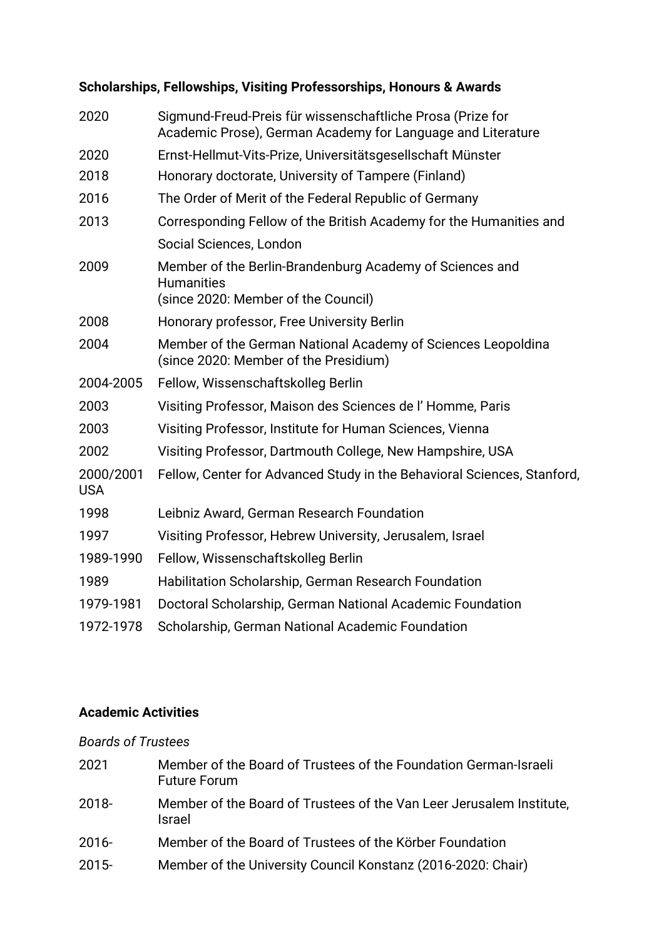| 2020                    | Sigmund-Freud-Preis für wissenschaftliche Prosa (Prize for<br>Academic Prose), German Academy for Language and Literature |
|-------------------------|---------------------------------------------------------------------------------------------------------------------------|
| 2020                    | Ernst-Hellmut-Vits-Prize, Universitätsgesellschaft Münster                                                                |
| 2018                    | Honorary doctorate, University of Tampere (Finland)                                                                       |
| 2016                    | The Order of Merit of the Federal Republic of Germany                                                                     |
| 2013                    | Corresponding Fellow of the British Academy for the Humanities and                                                        |
|                         | Social Sciences, London                                                                                                   |
| 2009                    | Member of the Berlin-Brandenburg Academy of Sciences and<br><b>Humanities</b><br>(since 2020: Member of the Council)      |
| 2008                    | Honorary professor, Free University Berlin                                                                                |
| 2004                    | Member of the German National Academy of Sciences Leopoldina<br>(since 2020: Member of the Presidium)                     |
| 2004-2005               | Fellow, Wissenschaftskolleg Berlin                                                                                        |
| 2003                    | Visiting Professor, Maison des Sciences de l'Homme, Paris                                                                 |
| 2003                    | Visiting Professor, Institute for Human Sciences, Vienna                                                                  |
| 2002                    | Visiting Professor, Dartmouth College, New Hampshire, USA                                                                 |
| 2000/2001<br><b>USA</b> | Fellow, Center for Advanced Study in the Behavioral Sciences, Stanford,                                                   |
| 1998                    | Leibniz Award, German Research Foundation                                                                                 |
| 1997                    | Visiting Professor, Hebrew University, Jerusalem, Israel                                                                  |
| 1989-1990               | Fellow, Wissenschaftskolleg Berlin                                                                                        |
| 1989                    | Habilitation Scholarship, German Research Foundation                                                                      |
| 1979-1981               | Doctoral Scholarship, German National Academic Foundation                                                                 |
| 1972-1978               | Scholarship, German National Academic Foundation                                                                          |

# **Scholarships, Fellowships, Visiting Professorships, Honours & Awards**

#### **Academic Activities**

## *Boards of Trustees*

| 2021     | Member of the Board of Trustees of the Foundation German-Israeli<br><b>Future Forum</b> |
|----------|-----------------------------------------------------------------------------------------|
| $2018 -$ | Member of the Board of Trustees of the Van Leer Jerusalem Institute,<br><b>Israel</b>   |
| $2016 -$ | Member of the Board of Trustees of the Körber Foundation                                |
| $2015 -$ | Member of the University Council Konstanz (2016-2020: Chair)                            |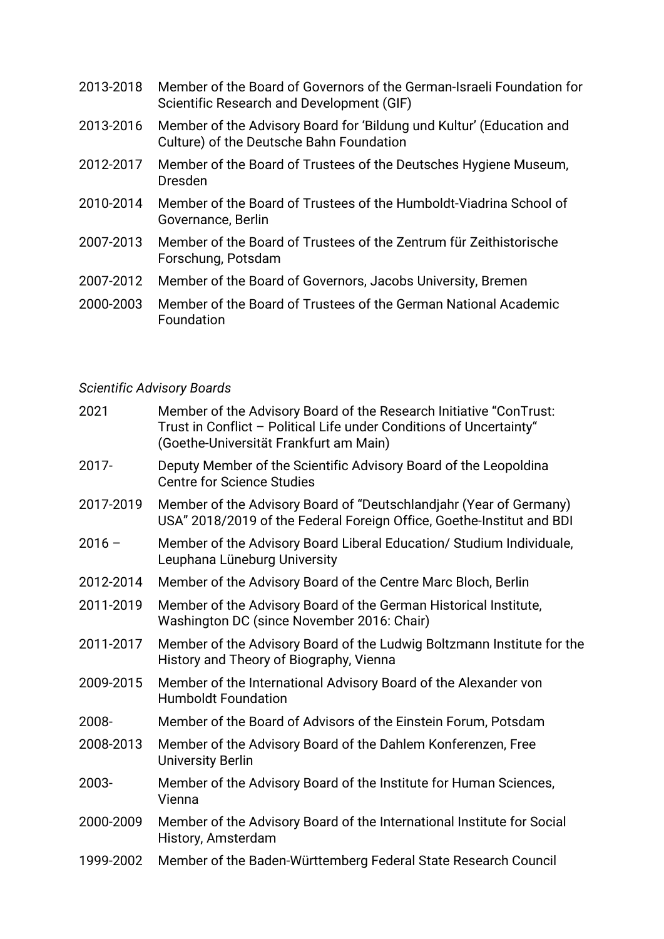| 2013-2018 | Member of the Board of Governors of the German-Israeli Foundation for<br>Scientific Research and Development (GIF) |
|-----------|--------------------------------------------------------------------------------------------------------------------|
| 2013-2016 | Member of the Advisory Board for 'Bildung und Kultur' (Education and<br>Culture) of the Deutsche Bahn Foundation   |
| 2012-2017 | Member of the Board of Trustees of the Deutsches Hygiene Museum,<br><b>Dresden</b>                                 |
| 2010-2014 | Member of the Board of Trustees of the Humboldt-Viadrina School of<br>Governance, Berlin                           |
| 2007-2013 | Member of the Board of Trustees of the Zentrum für Zeithistorische<br>Forschung, Potsdam                           |
| 2007-2012 | Member of the Board of Governors, Jacobs University, Bremen                                                        |
| פחחר חחחר | Momber of the Board of Trustees of the Cerman National Academic                                                    |

2000-2003 Member of the Board of Trustees of the German National Academic Foundation

# *Scientific Advisory Boards*

| 2021      | Member of the Advisory Board of the Research Initiative "ConTrust:<br>Trust in Conflict - Political Life under Conditions of Uncertainty"<br>(Goethe-Universität Frankfurt am Main) |
|-----------|-------------------------------------------------------------------------------------------------------------------------------------------------------------------------------------|
| 2017-     | Deputy Member of the Scientific Advisory Board of the Leopoldina<br><b>Centre for Science Studies</b>                                                                               |
| 2017-2019 | Member of the Advisory Board of "Deutschlandjahr (Year of Germany)<br>USA" 2018/2019 of the Federal Foreign Office, Goethe-Institut and BDI                                         |
| $2016 -$  | Member of the Advisory Board Liberal Education/ Studium Individuale,<br>Leuphana Lüneburg University                                                                                |
| 2012-2014 | Member of the Advisory Board of the Centre Marc Bloch, Berlin                                                                                                                       |
| 2011-2019 | Member of the Advisory Board of the German Historical Institute,<br>Washington DC (since November 2016: Chair)                                                                      |
| 2011-2017 | Member of the Advisory Board of the Ludwig Boltzmann Institute for the<br>History and Theory of Biography, Vienna                                                                   |
| 2009-2015 | Member of the International Advisory Board of the Alexander von<br><b>Humboldt Foundation</b>                                                                                       |
| 2008-     | Member of the Board of Advisors of the Einstein Forum, Potsdam                                                                                                                      |
| 2008-2013 | Member of the Advisory Board of the Dahlem Konferenzen, Free<br><b>University Berlin</b>                                                                                            |
| 2003-     | Member of the Advisory Board of the Institute for Human Sciences,<br>Vienna                                                                                                         |
| 2000-2009 | Member of the Advisory Board of the International Institute for Social<br>History, Amsterdam                                                                                        |
| 1999-2002 | Member of the Baden-Württemberg Federal State Research Council                                                                                                                      |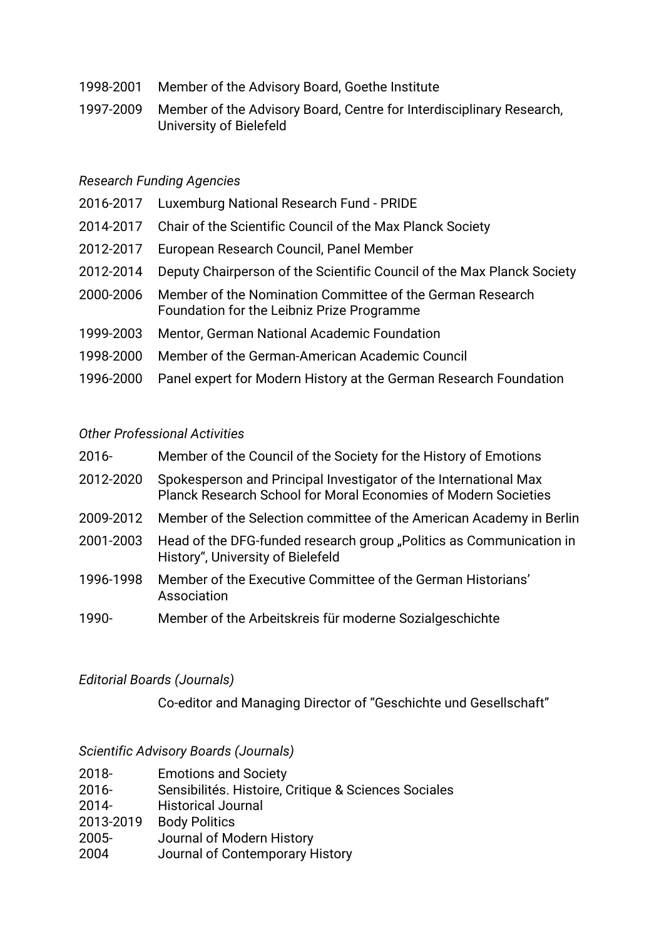- 1998-2001 Member of the Advisory Board, Goethe Institute
- 1997-2009 Member of the Advisory Board, Centre for Interdisciplinary Research, University of Bielefeld

#### *Research Funding Agencies*

- 2016-2017 Luxemburg National Research Fund PRIDE
- 2014-2017 Chair of the Scientific Council of the Max Planck Society
- 2012-2017 European Research Council, Panel Member
- 2012-2014 Deputy Chairperson of the Scientific Council of the Max Planck Society
- 2000-2006 Member of the Nomination Committee of the German Research Foundation for the Leibniz Prize Programme
- 1999-2003 Mentor, German National Academic Foundation
- 1998-2000 Member of the German-American Academic Council
- 1996-2000 Panel expert for Modern History at the German Research Foundation

#### *Other Professional Activities*

| 2016-     | Member of the Council of the Society for the History of Emotions                                                                   |
|-----------|------------------------------------------------------------------------------------------------------------------------------------|
| 2012-2020 | Spokesperson and Principal Investigator of the International Max<br>Planck Research School for Moral Economies of Modern Societies |
| 2009-2012 | Member of the Selection committee of the American Academy in Berlin                                                                |
| 2001-2003 | Head of the DFG-funded research group "Politics as Communication in<br>History", University of Bielefeld                           |
| 1996-1998 | Member of the Executive Committee of the German Historians'<br>Association                                                         |

1990- Member of the Arbeitskreis für moderne Sozialgeschichte

#### *Editorial Boards (Journals)*

Co-editor and Managing Director of "Geschichte und Gesellschaft"

#### *Scientific Advisory Boards (Journals)*

| 2018-     | <b>Emotions and Society</b>                          |
|-----------|------------------------------------------------------|
| $2016 -$  | Sensibilités. Histoire, Critique & Sciences Sociales |
| $2014 -$  | <b>Historical Journal</b>                            |
| 2013-2019 | <b>Body Politics</b>                                 |
| $2005 -$  | Journal of Modern History                            |
| 2004      | Journal of Contemporary History                      |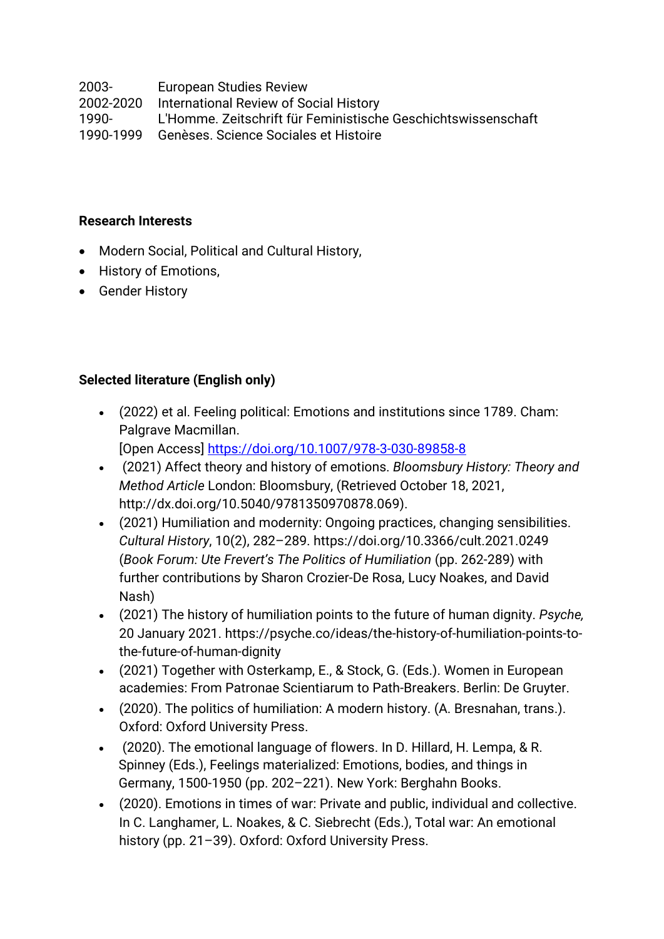2003- European Studies Review

2002-2020 International Review of Social History

1990- L'Homme. Zeitschrift für Feministische Geschichtswissenschaft

1990-1999 Genèses. Science Sociales et Histoire

#### **Research Interests**

- Modern Social, Political and Cultural History,
- History of Emotions,
- Gender History

## **Selected literature (English only)**

- (2022) et al. Feeling political: Emotions and institutions since 1789. Cham: Palgrave Macmillan. [Open Access]<https://doi.org/10.1007/978-3-030-89858-8>
- (2021) Affect theory and history of emotions. *Bloomsbury History: Theory and Method Article* London: Bloomsbury, (Retrieved October 18, 2021, http://dx.doi.org/10.5040/9781350970878.069).
- (2021) Humiliation and modernity: Ongoing practices, changing sensibilities. *Cultural History*, 10(2), 282–289. <https://doi.org/10.3366/cult.2021.0249> (*Book Forum: Ute Frevert's The Politics of Humiliation* (pp. 262-289) with further contributions by Sharon Crozier-De Rosa, Lucy Noakes, and David Nash)
- (2021) The history of humiliation points to the future of human dignity. *Psyche,* 20 January 2021. [https://psyche.co/ideas/the-history-of-humiliation-points-to](https://psyche.co/ideas/the-history-of-humiliation-points-to-the-future-of-human-dignity)[the-future-of-human-dignity](https://psyche.co/ideas/the-history-of-humiliation-points-to-the-future-of-human-dignity)
- (2021) Together with Osterkamp, E., & Stock, G. (Eds.). Women in European academies: From Patronae Scientiarum to Path-Breakers. Berlin: De Gruyter.
- (2020). The politics of humiliation: A modern history. [\(A. Bresnahan,](https://www.mpib-berlin.mpg.de/publication-search/24257?person=%2Fpersons%2Fresource%2Fpersons189024) trans.). Oxford: Oxford University Press.
- (2020). The emotional language of flowers. In D. Hillard, H. Lempa, & R. Spinney (Eds.), Feelings materialized: Emotions, bodies, and things in Germany, 1500-1950 (pp. 202–221). New York: Berghahn Books.
- (2020). Emotions in times of war: Private and public, individual and collective. In C. Langhamer, L. Noakes, & C. Siebrecht (Eds.), Total war: An emotional history (pp. 21–39). Oxford: Oxford University Press.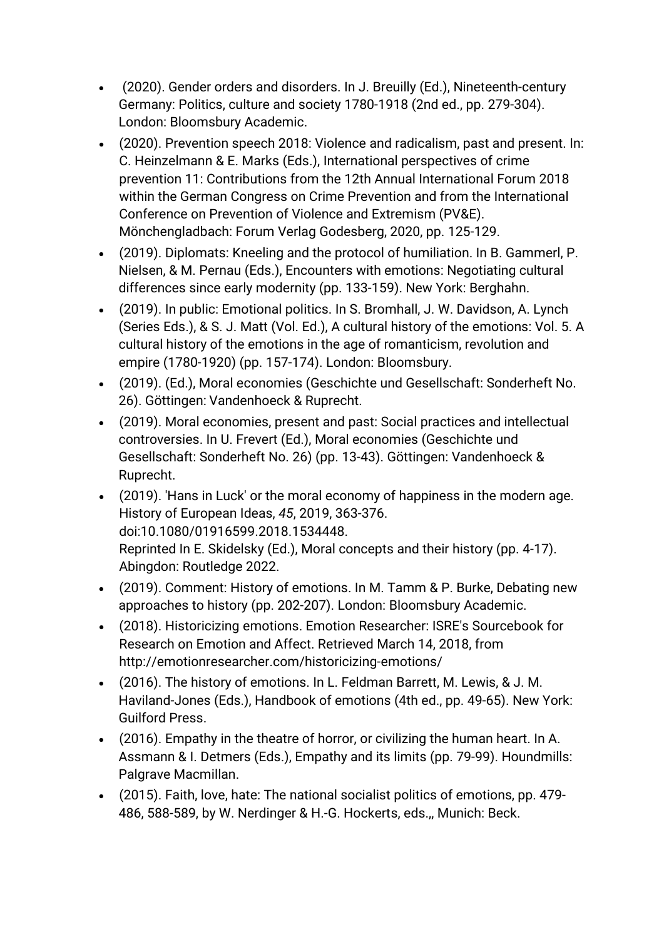- (2020). Gender orders and disorders. In J. Breuilly (Ed.), Nineteenth-century Germany: Politics, culture and society 1780-1918 (2nd ed., pp. 279-304). London: Bloomsbury Academic.
- (2020). Prevention speech 2018: Violence and radicalism, past and present. In: C. Heinzelmann & E. Marks (Eds.), International perspectives of crime prevention 11: Contributions from the 12th Annual International Forum 2018 within the German Congress on Crime Prevention and from the International Conference on Prevention of Violence and Extremism (PV&E). Mönchengladbach: Forum Verlag Godesberg, 2020, pp. 125-129.
- (2019). Diplomats: Kneeling and the protocol of humiliation. In B. Gammerl, P. Nielsen, & M. Pernau (Eds.), Encounters with emotions: Negotiating cultural differences since early modernity (pp. 133-159). New York: Berghahn.
- (2019). In public: Emotional politics. In S. Bromhall, J. W. Davidson, A. Lynch (Series Eds.), & S. J. Matt (Vol. Ed.), A cultural history of the emotions: Vol. 5. A cultural history of the emotions in the age of romanticism, revolution and empire (1780-1920) (pp. 157-174). London: Bloomsbury.
- (2019). (Ed.), Moral economies (Geschichte und Gesellschaft: Sonderheft No. 26). Göttingen: Vandenhoeck & Ruprecht.
- (2019). Moral economies, present and past: Social practices and intellectual controversies. In U. Frevert (Ed.), Moral economies (Geschichte und Gesellschaft: Sonderheft No. 26) (pp. 13-43). Göttingen: Vandenhoeck & Ruprecht.
- (2019). 'Hans in Luck' or the moral economy of happiness in the modern age. History of European Ideas, *45*, 2019, 363-376. doi:10.1080/01916599.2018.1534448. Reprinted In E. Skidelsky (Ed.), Moral concepts and their history (pp. 4-17). Abingdon: Routledge 2022.
- (2019). Comment: History of emotions. In M. Tamm & P. Burke, Debating new approaches to history (pp. 202-207). London: Bloomsbury Academic.
- (2018). Historicizing emotions. Emotion Researcher: ISRE's Sourcebook for Research on Emotion and Affect. Retrieved March 14, 2018, from http://emotionresearcher.com/historicizing-emotions/
- (2016). The history of emotions. In L. Feldman Barrett, M. Lewis, & J. M. Haviland-Jones (Eds.), Handbook of emotions (4th ed., pp. 49-65). New York: Guilford Press.
- (2016). Empathy in the theatre of horror, or civilizing the human heart. In A. Assmann & I. Detmers (Eds.), Empathy and its limits (pp. 79-99). Houndmills: Palgrave Macmillan.
- (2015). Faith, love, hate: The national socialist politics of emotions, pp. 479- 486, 588-589, by W. Nerdinger & H.-G. Hockerts, eds.,, Munich: Beck.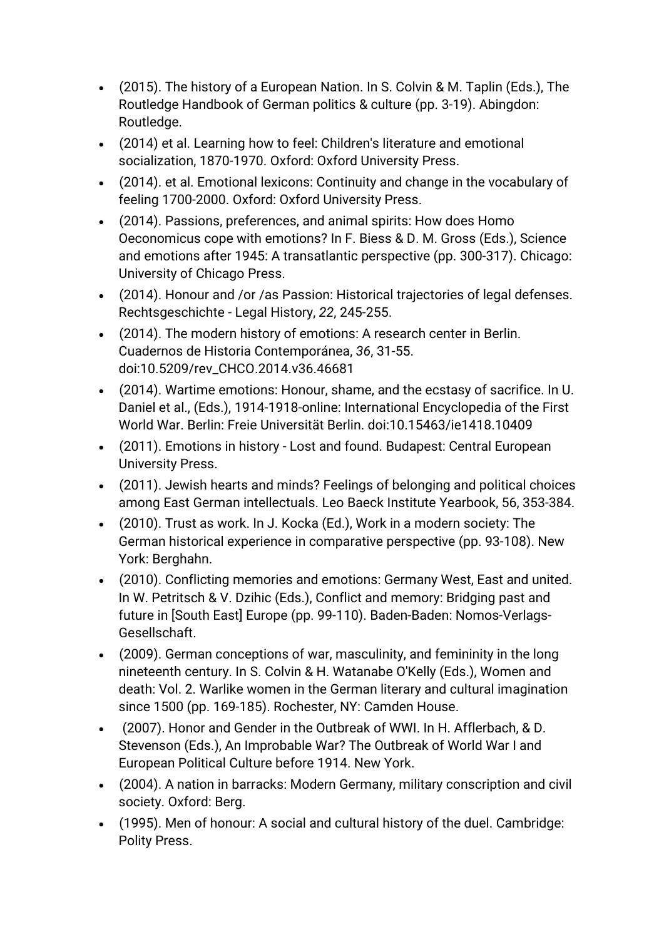- (2015). The history of a European Nation. In S. Colvin & M. Taplin (Eds.), The Routledge Handbook of German politics & culture (pp. 3-19). Abingdon: Routledge.
- (2014) et al. Learning how to feel: Children's literature and emotional socialization, 1870-1970. Oxford: Oxford University Press.
- (2014). et al. Emotional lexicons: Continuity and change in the vocabulary of feeling 1700-2000. Oxford: Oxford University Press.
- (2014). Passions, preferences, and animal spirits: How does Homo Oeconomicus cope with emotions? In F. Biess & D. M. Gross (Eds.), Science and emotions after 1945: A transatlantic perspective (pp. 300-317). Chicago: University of Chicago Press.
- (2014). Honour and /or /as Passion: Historical trajectories of legal defenses. Rechtsgeschichte - Legal History, *22*, 245-255.
- (2014). The modern history of emotions: A research center in Berlin. Cuadernos de Historia Contemporánea, *36*, 31-55. doi:10.5209/rev\_CHCO.2014.v36.46681
- (2014). Wartime emotions: Honour, shame, and the ecstasy of sacrifice. In U. Daniel et al., (Eds.), 1914-1918-online: International Encyclopedia of the First World War. Berlin: Freie Universität Berlin. doi:10.15463/ie1418.10409
- (2011). Emotions in history Lost and found. Budapest: Central European University Press.
- (2011). Jewish hearts and minds? Feelings of belonging and political choices among East German intellectuals. Leo Baeck Institute Yearbook, 56, 353-384.
- (2010). Trust as work. In J. Kocka (Ed.), Work in a modern society: The German historical experience in comparative perspective (pp. 93-108). New York: Berghahn.
- (2010). Conflicting memories and emotions: Germany West, East and united. In W. Petritsch & V. Dzihic (Eds.), Conflict and memory: Bridging past and future in [South East] Europe (pp. 99-110). Baden-Baden: Nomos-Verlags-Gesellschaft.
- (2009). German conceptions of war, masculinity, and femininity in the long nineteenth century. In S. Colvin & H. Watanabe O'Kelly (Eds.), Women and death: Vol. 2. Warlike women in the German literary and cultural imagination since 1500 (pp. 169-185). Rochester, NY: Camden House.
- (2007). Honor and Gender in the Outbreak of WWI. In H. Afflerbach, & D. Stevenson (Eds.), An Improbable War? The Outbreak of World War I and European Political Culture before 1914. New York.
- (2004). A nation in barracks: Modern Germany, military conscription and civil society. Oxford: Berg.
- (1995). Men of honour: A social and cultural history of the duel. Cambridge: Polity Press.